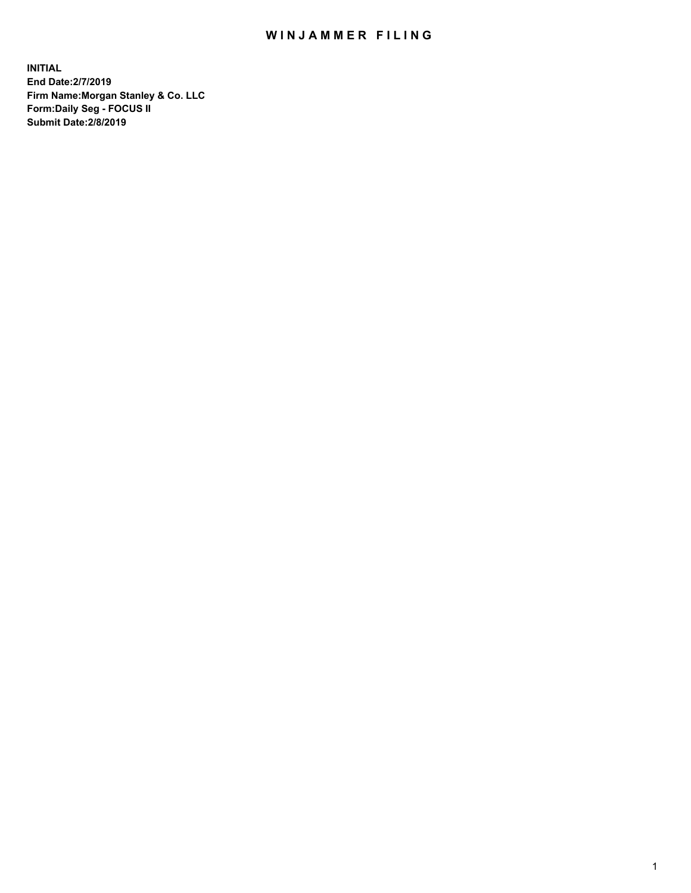## WIN JAMMER FILING

**INITIAL End Date:2/7/2019 Firm Name:Morgan Stanley & Co. LLC Form:Daily Seg - FOCUS II Submit Date:2/8/2019**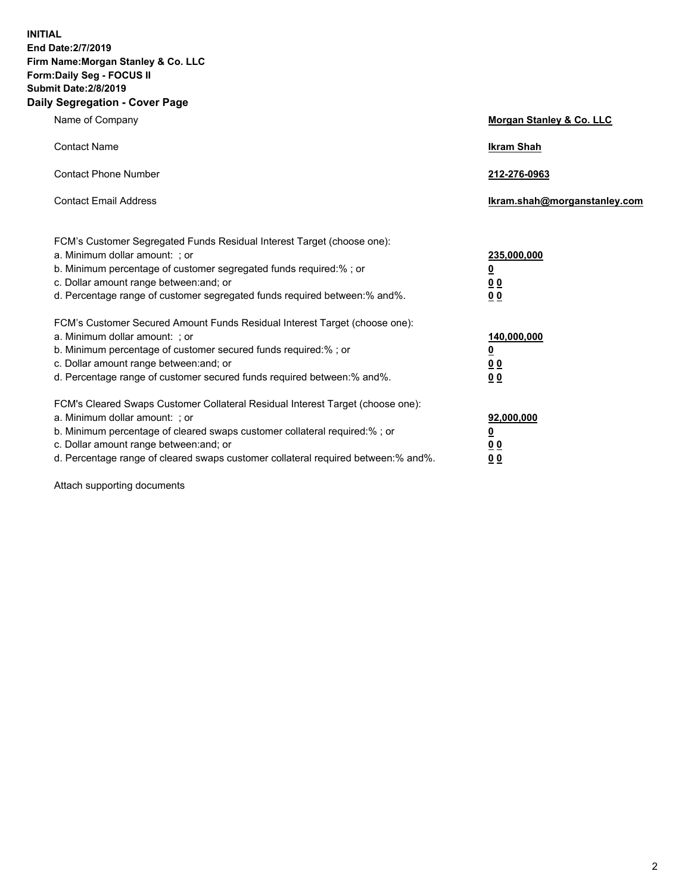**INITIAL End Date:2/7/2019 Firm Name:Morgan Stanley & Co. LLC Form:Daily Seg - FOCUS II Submit Date:2/8/2019 Daily Segregation - Cover Page**

| Name of Company                                                                   | Morgan Stanley & Co. LLC     |
|-----------------------------------------------------------------------------------|------------------------------|
| <b>Contact Name</b>                                                               | <b>Ikram Shah</b>            |
| <b>Contact Phone Number</b>                                                       | 212-276-0963                 |
| <b>Contact Email Address</b>                                                      | Ikram.shah@morganstanley.com |
|                                                                                   |                              |
| FCM's Customer Segregated Funds Residual Interest Target (choose one):            |                              |
| a. Minimum dollar amount: ; or                                                    | 235,000,000                  |
| b. Minimum percentage of customer segregated funds required:% ; or                | <u>0</u>                     |
| c. Dollar amount range between: and; or                                           | 0 <sub>0</sub>               |
| d. Percentage range of customer segregated funds required between:% and%.         | <u>00</u>                    |
| FCM's Customer Secured Amount Funds Residual Interest Target (choose one):        |                              |
| a. Minimum dollar amount: ; or                                                    | 140,000,000                  |
| b. Minimum percentage of customer secured funds required:%; or                    | <u>0</u>                     |
| c. Dollar amount range between: and; or                                           | <u>00</u>                    |
| d. Percentage range of customer secured funds required between: % and %.          | 0 <sub>0</sub>               |
| FCM's Cleared Swaps Customer Collateral Residual Interest Target (choose one):    |                              |
| a. Minimum dollar amount: ; or                                                    | 92,000,000                   |
| b. Minimum percentage of cleared swaps customer collateral required:% ; or        | <u>0</u>                     |
| c. Dollar amount range between: and; or                                           | 00                           |
| d. Percentage range of cleared swaps customer collateral required between:% and%. | 00                           |
|                                                                                   |                              |

Attach supporting documents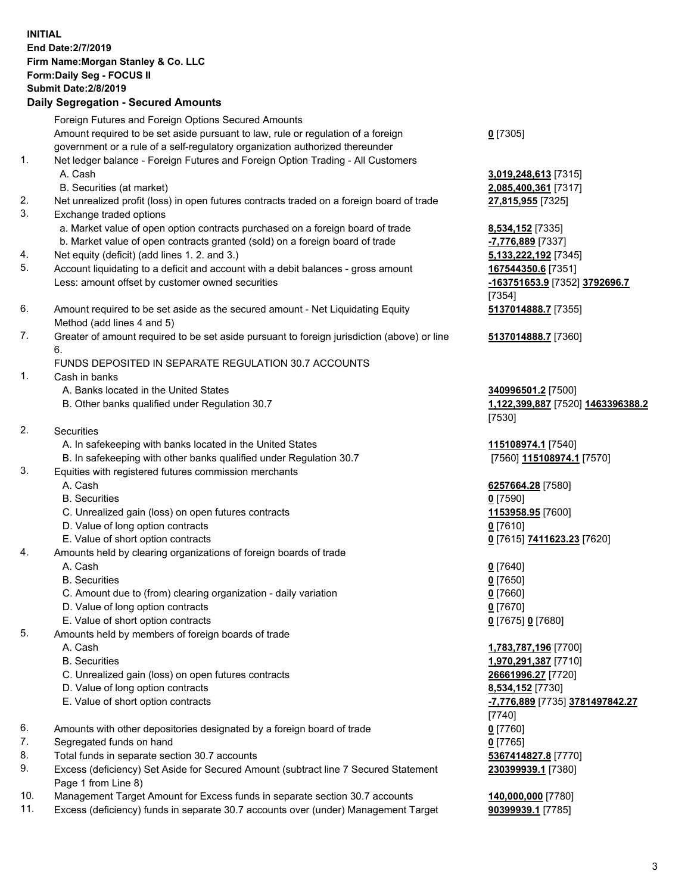|                | <b>INITIAL</b><br>End Date: 2/7/2019<br>Firm Name: Morgan Stanley & Co. LLC<br>Form: Daily Seg - FOCUS II<br><b>Submit Date: 2/8/2019</b><br><b>Daily Segregation - Secured Amounts</b>                                                                                                                                                                                            |                                                                                                                            |
|----------------|------------------------------------------------------------------------------------------------------------------------------------------------------------------------------------------------------------------------------------------------------------------------------------------------------------------------------------------------------------------------------------|----------------------------------------------------------------------------------------------------------------------------|
|                | Foreign Futures and Foreign Options Secured Amounts<br>Amount required to be set aside pursuant to law, rule or regulation of a foreign<br>government or a rule of a self-regulatory organization authorized thereunder                                                                                                                                                            | $0$ [7305]                                                                                                                 |
| 1.<br>2.       | Net ledger balance - Foreign Futures and Foreign Option Trading - All Customers<br>A. Cash<br>B. Securities (at market)<br>Net unrealized profit (loss) in open futures contracts traded on a foreign board of trade                                                                                                                                                               | 3,019,248,613 [73<br>2,085,400,361 [73<br>27,815,955 [7325]                                                                |
| 3.<br>4.<br>5. | Exchange traded options<br>a. Market value of open option contracts purchased on a foreign board of trade<br>b. Market value of open contracts granted (sold) on a foreign board of trade<br>Net equity (deficit) (add lines 1.2. and 3.)<br>Account liquidating to a deficit and account with a debit balances - gross amount<br>Less: amount offset by customer owned securities | 8,534,152 [7335]<br>-7,776,889 [7337]<br>5,133,222,192 [73<br>167544350.6 [735<br>-163751653.9 [73<br>[7354]               |
| 6.             | Amount required to be set aside as the secured amount - Net Liquidating Equity<br>Method (add lines 4 and 5)                                                                                                                                                                                                                                                                       | 5137014888.7 [73                                                                                                           |
| 7.             | Greater of amount required to be set aside pursuant to foreign jurisdiction (above) or line<br>6.<br>FUNDS DEPOSITED IN SEPARATE REGULATION 30.7 ACCOUNTS                                                                                                                                                                                                                          | 5137014888.7 [73                                                                                                           |
| 1.             | Cash in banks<br>A. Banks located in the United States<br>B. Other banks qualified under Regulation 30.7                                                                                                                                                                                                                                                                           | 340996501.2 [750<br>1,122,399,887 [75<br>[7530]                                                                            |
| 2.             | Securities<br>A. In safekeeping with banks located in the United States<br>B. In safekeeping with other banks qualified under Regulation 30.7                                                                                                                                                                                                                                      | <u>115108974.1</u> [754<br>[7560] 115108974                                                                                |
| 3.             | Equities with registered futures commission merchants<br>A. Cash<br><b>B.</b> Securities<br>C. Unrealized gain (loss) on open futures contracts<br>D. Value of long option contracts<br>E. Value of short option contracts                                                                                                                                                         | 6257664.28 [7580<br>$0$ [7590]<br>1153958.95 [7600<br>$0$ [7610]<br>0 [7615] 7411623.                                      |
| 4.             | Amounts held by clearing organizations of foreign boards of trade<br>A. Cash<br><b>B.</b> Securities<br>C. Amount due to (from) clearing organization - daily variation<br>D. Value of long option contracts<br>E. Value of short option contracts                                                                                                                                 | $0$ [7640]<br>$0$ [7650]<br>$0$ [7660]<br>$0$ [7670]<br>0 [7675] 0 [7680]                                                  |
| 5.             | Amounts held by members of foreign boards of trade<br>A. Cash<br><b>B.</b> Securities<br>C. Unrealized gain (loss) on open futures contracts<br>D. Value of long option contracts<br>E. Value of short option contracts                                                                                                                                                            | 1,783,787,196 <sub>[77</sub><br>1,970,291,387 [77<br>26661996.27 [772<br>8,534,152 [7730]<br>-7,776,889 [7735]<br>$[7740]$ |
| 6.<br>7.       | Amounts with other depositories designated by a foreign board of trade                                                                                                                                                                                                                                                                                                             | $0$ [7760]                                                                                                                 |
| 8.             | Segregated funds on hand<br>Total funds in separate section 30.7 accounts                                                                                                                                                                                                                                                                                                          | $0$ [7765]<br>5367414827.8 [77                                                                                             |
| 9.             | Excess (deficiency) Set Aside for Secured Amount (subtract line 7 Secured Statement<br>Page 1 from Line 8)                                                                                                                                                                                                                                                                         | 230399939.1 [738                                                                                                           |

- 10. Management Target Amount for Excess funds in separate section 30.7 accounts **140,000,000** [7780]
- 11. Excess (deficiency) funds in separate 30.7 accounts over (under) Management Target **90399939.1** [7785]

 A. Cash **3,019,248,613** [7315] B. Securities (at market) **2,085,400,361** [7317]

222,192 [7345] 4350.6 [7351] Less: amount offset by customer owned securities **-163751653.9** [7352] **3792696.7 5137014888.7** [7355]

**5137014888.7** [7360]

**6501.2** [7500] B. Other banks qualified under Regulation 30.7 **1,122,399,887** [7520] **1463396388.2**

**8974.1** [7540] B. In safekeeping with other banks qualified under Regulation 30.7 [7560] **115108974.1** [7570]

 A. Cash **6257664.28** [7580] C. Unrealized gain (loss) on open futures contracts **1153958.95** [7600] E. Value of short option contracts **0** [7615] **7411623.23** [7620]

 A. Cash **1,783,787,196** [7700] B. Securities **1,970,291,387** [7710] C. Unrealized gain (loss) on open futures contracts **26661996.27** [7720] E. Value of short option contracts **-7,776,889** [7735] **3781497842.27** <mark>14827.8</mark> [7770] **2939.1** [7380]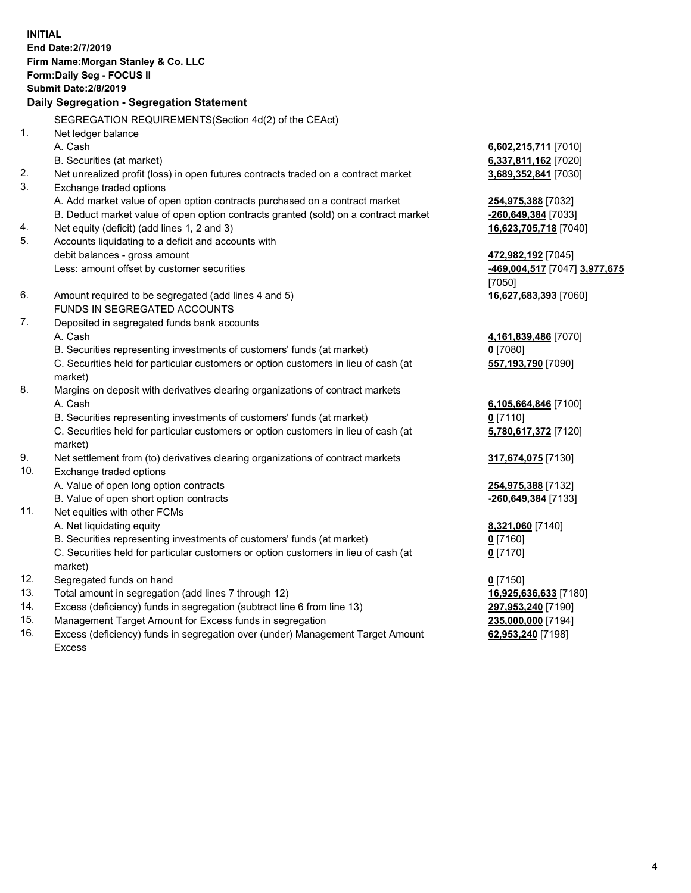**INITIAL End Date:2/7/2019 Firm Name:Morgan Stanley & Co. LLC Form:Daily Seg - FOCUS II Submit Date:2/8/2019 Daily Segregation - Segregation Statement** SEGREGATION REQUIREMENTS(Section 4d(2) of the CEAct) 1. Net ledger balance A. Cash **6,602,215,711** [7010] B. Securities (at market) **6,337,811,162** [7020] 2. Net unrealized profit (loss) in open futures contracts traded on a contract market **3,689,352,841** [7030] 3. Exchange traded options A. Add market value of open option contracts purchased on a contract market **254,975,388** [7032] B. Deduct market value of open option contracts granted (sold) on a contract market **-260,649,384** [7033] 4. Net equity (deficit) (add lines 1, 2 and 3) **16,623,705,718** [7040] 5. Accounts liquidating to a deficit and accounts with debit balances - gross amount **472,982,192** [7045] Less: amount offset by customer securities **-469,004,517** [7047] **3,977,675** [7050] 6. Amount required to be segregated (add lines 4 and 5) **16,627,683,393** [7060] FUNDS IN SEGREGATED ACCOUNTS 7. Deposited in segregated funds bank accounts A. Cash **4,161,839,486** [7070] B. Securities representing investments of customers' funds (at market) **0** [7080] C. Securities held for particular customers or option customers in lieu of cash (at market) **557,193,790** [7090] 8. Margins on deposit with derivatives clearing organizations of contract markets A. Cash **6,105,664,846** [7100] B. Securities representing investments of customers' funds (at market) **0** [7110] C. Securities held for particular customers or option customers in lieu of cash (at market) **5,780,617,372** [7120] 9. Net settlement from (to) derivatives clearing organizations of contract markets **317,674,075** [7130] 10. Exchange traded options A. Value of open long option contracts **254,975,388** [7132] B. Value of open short option contracts **-260,649,384** [7133] 11. Net equities with other FCMs A. Net liquidating equity **8,321,060** [7140] B. Securities representing investments of customers' funds (at market) **0** [7160] C. Securities held for particular customers or option customers in lieu of cash (at market) **0** [7170] 12. Segregated funds on hand **0** [7150] 13. Total amount in segregation (add lines 7 through 12) **16,925,636,633** [7180] 14. Excess (deficiency) funds in segregation (subtract line 6 from line 13) **297,953,240** [7190]

- 15. Management Target Amount for Excess funds in segregation **235,000,000** [7194]
- 16. Excess (deficiency) funds in segregation over (under) Management Target Amount Excess

**62,953,240** [7198]